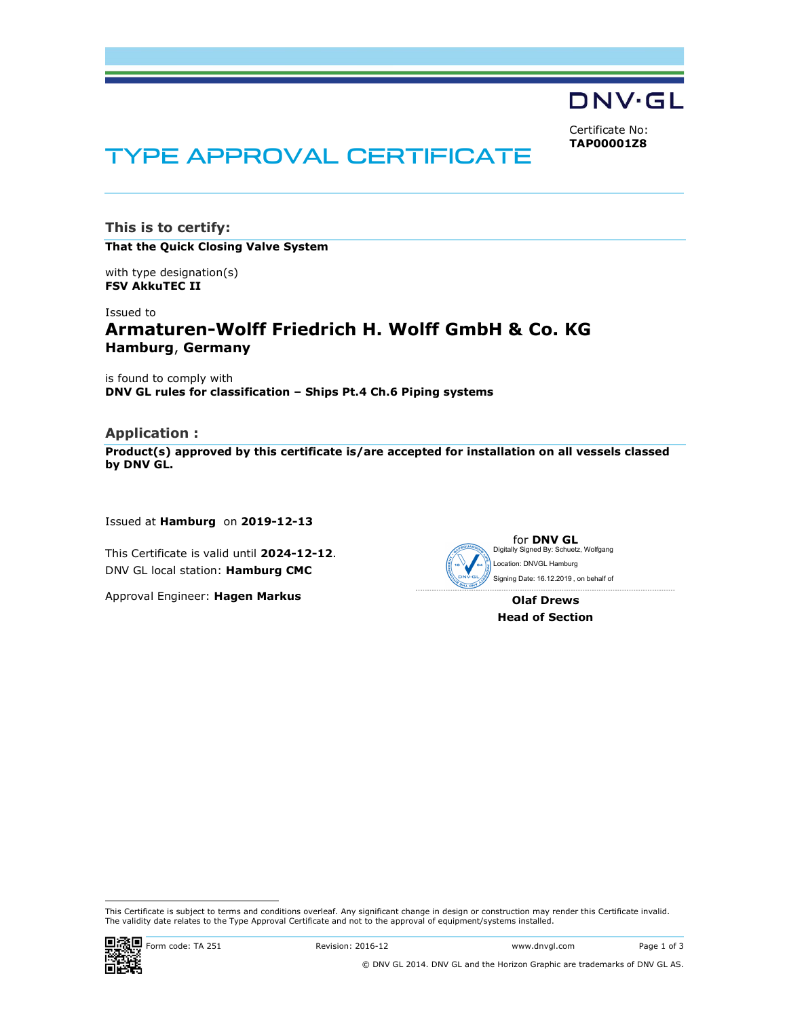

Certificate No: TAP00001Z8

# TYPE APPROVAL CERTIFICATE

This is to certify:

That the Quick Closing Valve System

with type designation(s) FSV AkkuTEC II

Issued to

# Armaturen-Wolff Friedrich H. Wolff GmbH & Co. KG Hamburg, Germany

is found to comply with DNV GL rules for classification – Ships Pt.4 Ch.6 Piping systems

# Application :

Product(s) approved by this certificate is/are accepted for installation on all vessels classed by DNV GL.

Issued at Hamburg on 2019-12-13

This Certificate is valid until 2024-12-12. DNV GL local station: Hamburg CMC

Approval Engineer: Hagen Markus



Olaf Drews Head of Section

This Certificate is subject to terms and conditions overleaf. Any significant change in design or construction may render this Certificate invalid.<br>The validity date relates to the Type Approval Certificate and not to the



i<br>I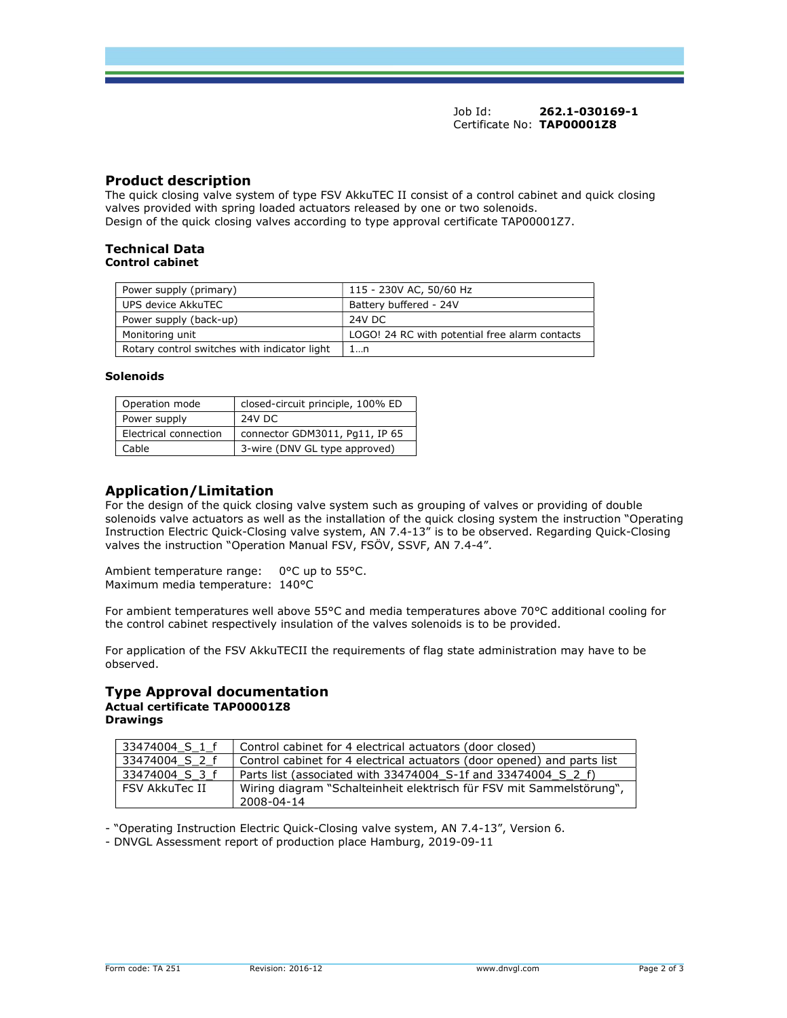Job Id: 262.1-030169-1 Certificate No: TAP00001Z8

# Product description

The quick closing valve system of type FSV AkkuTEC II consist of a control cabinet and quick closing valves provided with spring loaded actuators released by one or two solenoids. Design of the quick closing valves according to type approval certificate TAP00001Z7.

#### Technical Data Control cabinet

| Power supply (primary)                       | 115 - 230V AC, 50/60 Hz                        |
|----------------------------------------------|------------------------------------------------|
| UPS device AkkuTEC                           | Battery buffered - 24V                         |
| Power supply (back-up)                       | 24V DC                                         |
| Monitoring unit                              | LOGO! 24 RC with potential free alarm contacts |
| Rotary control switches with indicator light | 1…n                                            |

#### Solenoids

| Operation mode        | closed-circuit principle, 100% ED |
|-----------------------|-----------------------------------|
| Power supply          | 24V DC                            |
| Electrical connection | connector GDM3011, Pq11, IP 65    |
| Cable                 | 3-wire (DNV GL type approved)     |

# Application/Limitation

For the design of the quick closing valve system such as grouping of valves or providing of double solenoids valve actuators as well as the installation of the quick closing system the instruction "Operating Instruction Electric Quick-Closing valve system, AN 7.4-13" is to be observed. Regarding Quick-Closing valves the instruction "Operation Manual FSV, FSÖV, SSVF, AN 7.4-4".

Ambient temperature range: 0°C up to 55°C. Maximum media temperature: 140°C

For ambient temperatures well above 55°C and media temperatures above 70°C additional cooling for the control cabinet respectively insulation of the valves solenoids is to be provided.

For application of the FSV AkkuTECII the requirements of flag state administration may have to be observed.

#### Type Approval documentation Actual certificate TAP00001Z8 **Drawings**

| 33474004 S 1 f | Control cabinet for 4 electrical actuators (door closed)                |
|----------------|-------------------------------------------------------------------------|
| 33474004 S 2 f | Control cabinet for 4 electrical actuators (door opened) and parts list |
| 33474004 S 3 f | Parts list (associated with 33474004 S-1f and 33474004 S 2 f)           |
| FSV AkkuTec II | Wiring diagram "Schalteinheit elektrisch für FSV mit Sammelstörung",    |
|                | 2008-04-14                                                              |

- "Operating Instruction Electric Quick-Closing valve system, AN 7.4-13", Version 6.

- DNVGL Assessment report of production place Hamburg, 2019-09-11